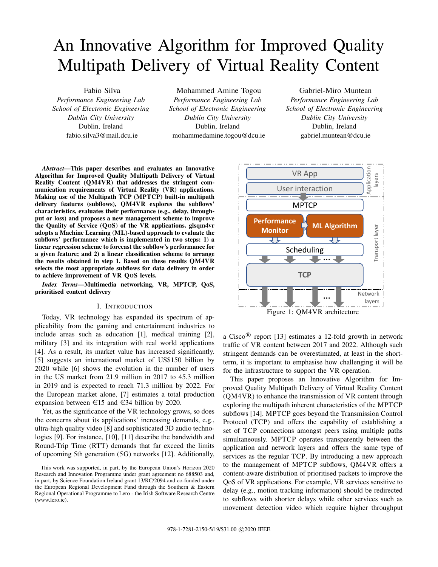# An Innovative Algorithm for Improved Quality Multipath Delivery of Virtual Reality Content

Fabio Silva *Performance Engineering Lab School of Electronic Engineering Dublin City University* Dublin, Ireland fabio.silva3@mail.dcu.ie

Mohammed Amine Togou *Performance Engineering Lab School of Electronic Engineering Dublin City University* Dublin, Ireland mohammedamine.togou@dcu.ie

Gabriel-Miro Muntean *Performance Engineering Lab School of Electronic Engineering Dublin City University* Dublin, Ireland gabriel.muntean@dcu.ie

*Abstract*—This paper describes and evaluates an Innovative Algorithm for Improved Quality Multipath Delivery of Virtual Reality Content (QM4VR) that addresses the stringent communication requirements of Virtual Reality (VR) applications. Making use of the Multipath TCP (MPTCP) built-in multipath delivery features (subflows), QM4VR explores the subflows' characteristics, evaluates their performance (e.g., delay, throughput or loss) and proposes a new management scheme to improve the Quality of Service (QOS) of the VR applications. glsqm4vr adopts a Machine Learning (ML)-based approach to evaluate the subflows' performance which is implemented in two steps: 1) a linear regression scheme to forecast the subflow's performance for a given feature; and 2) a linear classification scheme to arrange the results obtained in step 1. Based on these results QM4VR selects the most appropriate subflows for data delivery in order to achieve improvement of VR QOS levels.

*Index Terms*—Multimedia networking, VR, MPTCP, QoS, prioritised content delivery

## I. INTRODUCTION

Today, VR technology has expanded its spectrum of applicability from the gaming and entertainment industries to include areas such as education [1], medical training [2], military [3] and its integration with real world applications [4]. As a result, its market value has increased significantly. [5] suggests an international market of US\$150 billion by 2020 while [6] shows the evolution in the number of users in the US market from 21.9 million in 2017 to 45.3 million in 2019 and is expected to reach 71.3 million by 2022. For the European market alone, [7] estimates a total production expansion between  $\epsilon$ 15 and  $\epsilon$ 34 billion by 2020.

Yet, as the significance of the VR technology grows, so does the concerns about its applications' increasing demands, e.g., ultra-high quality video [8] and sophisticated 3D audio technologies [9]. For instance, [10], [11] describe the bandwidth and Round-Trip Time (RTT) demands that far exceed the limits of upcoming 5th generation (5G) networks [12]. Additionally,



a Cisco<sup>®</sup> report [13] estimates a 12-fold growth in network traffic of VR content between 2017 and 2022. Although such stringent demands can be overestimated, at least in the shortterm, it is important to emphasise how challenging it will be for the infrastructure to support the VR operation.

This paper proposes an Innovative Algorithm for Improved Quality Multipath Delivery of Virtual Reality Content (QM4VR) to enhance the transmission of VR content through exploring the multipath inherent characteristics of the MPTCP subflows [14]. MPTCP goes beyond the Transmission Control Protocol (TCP) and offers the capability of establishing a set of TCP connections amongst peers using multiple paths simultaneously. MPTCP operates transparently between the application and network layers and offers the same type of services as the regular TCP. By introducing a new approach to the management of MPTCP subflows, QM4VR offers a content-aware distribution of prioritised packets to improve the QoS of VR applications. For example, VR services sensitive to delay (e.g., motion tracking information) should be redirected to subflows with shorter delays while other services such as movement detection video which require higher throughput

This work was supported, in part, by the European Union's Horizon 2020 Research and Innovation Programme under grant agreement no 688503 and, in part, by Science Foundation Ireland grant 13/RC/2094 and co-funded under the European Regional Development Fund through the Southern & Eastern Regional Operational Programme to Lero - the Irish Software Research Centre (www.lero.ie).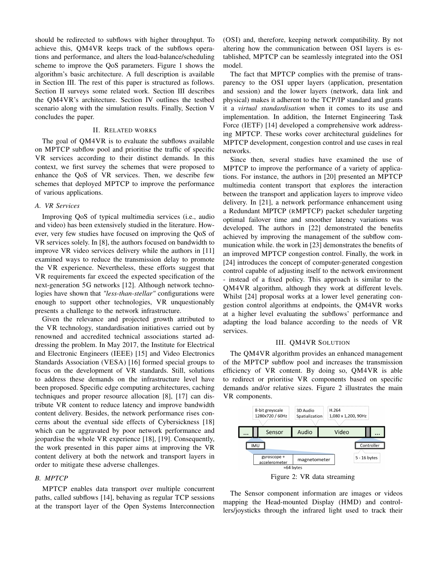should be redirected to subflows with higher throughput. To achieve this, QM4VR keeps track of the subflows operations and performance, and alters the load-balance/scheduling scheme to improve the QoS parameters. Figure 1 shows the algorithm's basic architecture. A full description is available in Section III. The rest of this paper is structured as follows. Section II surveys some related work. Section III describes the QM4VR's architecture. Section IV outlines the testbed scenario along with the simulation results. Finally, Section V concludes the paper.

# II. RELATED WORKS

The goal of QM4VR is to evaluate the subflows available on MPTCP subflow pool and prioritise the traffic of specific VR services according to their distinct demands. In this context, we first survey the schemes that were proposed to enhance the QoS of VR services. Then, we describe few schemes that deployed MPTCP to improve the performance of various applications.

#### *A. VR Services*

Improving QoS of typical multimedia services (i.e., audio and video) has been extensively studied in the literature. However, very few studies have focused on improving the QoS of VR services solely. In [8], the authors focused on bandwidth to improve VR video services delivery while the authors in [11] examined ways to reduce the transmission delay to promote the VR experience. Nevertheless, these efforts suggest that VR requirements far exceed the expected specification of the next-generation 5G networks [12]. Although network technologies have shown that *"less-than-stellar"* configurations were enough to support other technologies, VR unquestionably presents a challenge to the network infrastructure.

Given the relevance and projected growth attributed to the VR technology, standardisation initiatives carried out by renowned and accredited technical associations started addressing the problem. In May 2017, the Institute for Electrical and Electronic Engineers (IEEE) [15] and Video Electronics Standards Association (VESA) [16] formed special groups to focus on the development of VR standards. Still, solutions to address these demands on the infrastructure level have been proposed. Specific edge computing architectures, caching techniques and proper resource allocation [8], [17] can distribute VR content to reduce latency and improve bandwidth content delivery. Besides, the network performance rises concerns about the eventual side effects of Cybersickness [18] which can be aggravated by poor network performance and jeopardise the whole VR experience [18], [19]. Consequently, the work presented in this paper aims at improving the VR content delivery at both the network and transport layers in order to mitigate these adverse challenges.

# *B. MPTCP*

MPTCP enables data transport over multiple concurrent paths, called subflows [14], behaving as regular TCP sessions at the transport layer of the Open Systems Interconnection (OSI) and, therefore, keeping network compatibility. By not altering how the communication between OSI layers is established, MPTCP can be seamlessly integrated into the OSI model.

The fact that MPTCP complies with the premise of transparency to the OSI upper layers (application, presentation and session) and the lower layers (network, data link and physical) makes it adherent to the TCP/IP standard and grants it a *virtual standardisation* when it comes to its use and implementation. In addition, the Internet Engineering Task Force (IETF) [14] developed a comprehensive work addressing MPTCP. These works cover architectural guidelines for MPTCP development, congestion control and use cases in real networks.

Since then, several studies have examined the use of MPTCP to improve the performance of a variety of applications. For instance, the authors in [20] presented an MPTCP multimedia content transport that explores the interaction between the transport and application layers to improve video delivery. In [21], a network performance enhancement using a Redundant MPTCP (RMPTCP) packet scheduler targeting optimal failover time and smoother latency variations was developed. The authors in [22] demonstrated the benefits achieved by improving the management of the subflow communication while. the work in [23] demonstrates the benefits of an improved MPTCP congestion control. Finally, the work in [24] introduces the concept of computer-generated congestion control capable of adjusting itself to the network environment - instead of a fixed policy. This approach is similar to the QM4VR algorithm, although they work at different levels. Whilst [24] proposal works at a lower level generating congestion control algorithms at endpoints, the QM4VR works at a higher level evaluating the subflows' performance and adapting the load balance according to the needs of VR services.

#### III. QM4VR SOLUTION

The QM4VR algorithm provides an enhanced management of the MPTCP subflow pool and increases the transmission efficiency of VR content. By doing so, QM4VR is able to redirect or prioritise VR components based on specific demands and/or relative sizes. Figure 2 illustrates the main VR components.



Figure 2: VR data streaming

**7** mapping the Head-mounted Display (HMD) and control-The Sensor component information are images or videos lers/joysticks through the infrared light used to track their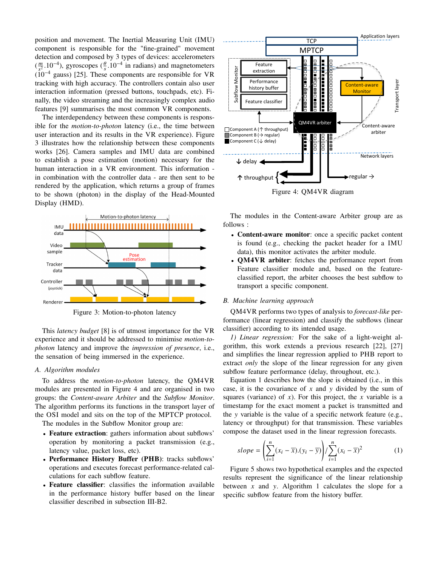position and movement. The Inertial Measuring Unit (IMU) component is responsible for the "fine-grained" movement detection and composed by 3 types of devices: accelerometers  $\left(\frac{m}{c^2}\right)$  $\frac{m}{s^2}$ .10<sup>-4</sup>), gyroscopes ( $\frac{\theta}{s}$ .10<sup>-4</sup> in radians) and magnetometers<br>10<sup>-4</sup> gauge) [25]. These components are responsible for VP  $(10^{-4}$  gauss) [25]. These components are responsible for VR tracking with high accuracy. The controllers contain also user interaction information (pressed buttons, touchpads, etc). Finally, the video streaming and the increasingly complex audio features [9] summarises the most common VR components.

The interdependency between these components is responsible for the *motion-to-photon* latency (i.e., the time between user interaction and its results in the VR experience). Figure 3 illustrates how the relationship between these components works [26]. Camera samples and IMU data are combined to establish a pose estimation (motion) necessary for the human interaction in a VR environment. This information in combination with the controller data - are then sent to be rendered by the application, which returns a group of frames to be shown (photon) in the display of the Head-Mounted Display (HMD).



Figure 3: Motion-to-photon latency

This *latency budget* [8] is of utmost importance for the VR experience and it should be addressed to minimise *motion-tophoton* latency and improve the *impression of presence*, i.e., the sensation of being immersed in the experience.

# *A. Algorithm modules*

To address the *motion-to-photon* latency, the QM4VR modules are presented in Figure 4 and are organised in two groups: the *Content-aware Arbiter* and the *Subflow Monitor*. The algorithm performs its functions in the transport layer of the OSI model and sits on the top of the MPTCP protocol.

The modules in the Subflow Monitor group are:

- Feature extraction: gathers information about subflows' operation by monitoring a packet transmission (e.g., latency value, packet loss, etc).
- Performance History Buffer (PHB): tracks subflows' operations and executes forecast performance-related calculations for each subflow feature.
- Feature classifier: classifies the information available in the performance history buffer based on the linear classifier described in subsection III-B2.



The modules in the Content-aware Arbiter group are as follows :

- Content-aware monitor: once a specific packet content is found (e.g., checking the packet header for a IMU data), this monitor activates the arbiter module.
- QM4VR arbiter: fetches the performance report from Feature classifier module and, based on the featureclassified report, the arbiter chooses the best subflow to transport a specific component.

#### *B. Machine learning approach*

QM4VR performs two types of analysis to *forecast-like* performance (linear regression) and classify the subflows (linear classifier) according to its intended usage.

*1) Linear regression:* For the sake of a light-weight algorithm, this work extends a previous research [22], [27] and simplifies the linear regression applied to PHB report to extract *only* the slope of the linear regression for any given subflow feature performance (delay, throughout, etc.).

Equation 1 describes how the slope is obtained (i.e., in this case, it is the covariance of *x* and y divided by the sum of squares (variance) of  $x$ ). For this project, the  $x$  variable is a timestamp for the exact moment a packet is transmitted and the y variable is the value of a specific network feature (e.g., latency or throughput) for that transmission. These variables compose the dataset used in the linear regression forecasts.

$$
slope = \left(\sum_{i=1}^{n} (x_i - \overline{x}).(y_i - \overline{y})\right) / \sum_{i=1}^{n} (x_i - \overline{x})^2
$$
 (1)

Figure 5 shows two hypothetical examples and the expected results represent the significance of the linear relationship between  $x$  and  $y$ . Algorithm 1 calculates the slope for a specific subflow feature from the history buffer.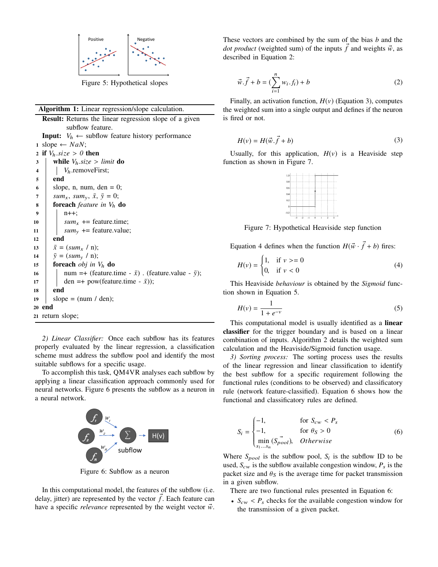

Figure 5: Hypothetical slopes

#### Algorithm 1: Linear regression/slope calculation.

Result: Returns the linear regression slope of a given subflow feature. **Input:**  $V_h \leftarrow$  subflow feature history performance 1 slope  $\leftarrow$  *NaN*; 2 if  $V_h.size > 0$  then<br>3 | while  $V_h.size > 0$  $\begin{array}{c|c} \text{3} & \text{while } V_h.size > limit \textbf{do} \\ \text{4} & V_h.\text{removeFirst:} \end{array}$ *V*<sub>h</sub>.removeFirst; 5 end 6 slope, n, num, den  $= 0$ ;  $7 \mid \text{sum}_x, \text{sum}_y, \overline{x}, \overline{y} = 0;$ <sup>8</sup> foreach *feature in V*<sup>h</sup> do  $9$  | | n++; 10  $\vert$  *sum<sub>x</sub>* += feature.time; 11 **sum**<sub>y</sub> += feature.value;  $12$  end 13  $\bar{x} = (sum_x / n);$ 14  $|\bar{y} = (sum_y / n);$ 15 **foreach** *obj* in  $V_h$  **do** 16 | num =+ (feature.time -  $\bar{x}$ ) . (feature.value -  $\bar{y}$ ); 17 den =+ pow(feature.time -  $\bar{x}$ )); 18 end 19 | slope =  $(num / den);$ 20 end <sup>21</sup> return slope;

*2) Linear Classifier:* Once each subflow has its features properly evaluated by the linear regression, a classification scheme must address the subflow pool and identify the most suitable subflows for a specific usage.

To accomplish this task, QM4VR analyses each subflow by applying a linear classification approach commonly used for neural networks. Figure 6 presents the subflow as a neuron in a neural network.



Figure 6: Subflow as a neuron

In this computational model, the features of the subflow (i.e. delay, jitter) are represented by the vector  $\hat{f}$ . Each feature can have a specific *relevance* represented by the weight vector  $\vec{w}$ . These vectors are combined by the sum of the bias *b* and the *dot product* (weighted sum) of the inputs f and weights  $\vec{w}$ , as described in Equation 2:

$$
\vec{w} \cdot \vec{f} + b = \left(\sum_{i=1}^{n} w_i \cdot f_i\right) + b \tag{2}
$$

Finally, an activation function,  $H(v)$  (Equation 3), computes the weighted sum into a single output and defines if the neuron is fired or not.

$$
H(v) = H(\vec{w} \cdot \vec{f} + b)
$$
 (3)

Usually, for this application,  $H(v)$  is a Heaviside step function as shown in Figure 7.



Figure 7: Hypothetical Heaviside step function

Equation 4 defines when the function  $H(\vec{w} \cdot \vec{f} + b)$  fires:

$$
H(v) = \begin{cases} 1, & \text{if } v > = 0 \\ 0, & \text{if } v < 0 \end{cases}
$$
 (4)

This Heaviside *behaviour* is obtained by the *Sigmoid* function shown in Equation 5.

$$
H(v) = \frac{1}{1 + e^{-v}}
$$
 (5)

This computational model is usually identified as a linear classifier for the trigger boundary and is based on a linear combination of inputs. Algorithm 2 details the weighted sum calculation and the Heaviside/Sigmoid function usage.

*3) Sorting process:* The sorting process uses the results of the linear regression and linear classification to identify the best subflow for a specific requirement following the functional rules (conditions to be observed) and classificatory rule (network feature-classified). Equation 6 shows how the functional and classificatory rules are defined.

$$
S_i = \begin{cases} -1, & \text{for } S_{cw} < P_s \\ -1, & \text{for } \theta_S > 0 \\ \min_{s_1...s_n} (S_{pool}), & Otherwise \end{cases} \tag{6}
$$

Where  $S_{pool}$  is the subflow pool,  $S_i$  is the subflow ID to be used,  $S_{cw}$  is the subflow available congestion window,  $P_s$  is the packet size and  $\theta_s$  is the average time for packet transmission in a given subflow.

There are two functional rules presented in Equation 6:

•  $S_{\text{cw}} < P_s$  checks for the available congestion window for the transmission of a given packet.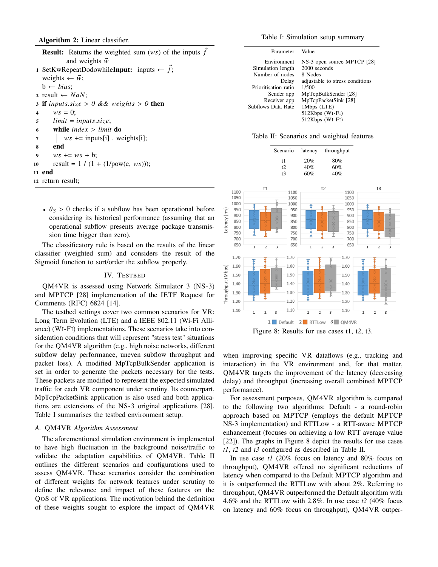# Algorithm 2: Linear classifier.

**Result:** Returns the weighted sum (ws) of the inputs  $\vec{f}$ and weights  $\vec{w}$ 1 SetKwRepeatDodowhile**Input:** inputs  $\leftarrow \vec{f}$ ; weights  $\leftarrow \vec{w}$ ;  $b \leftarrow bias;$ 2 result  $\leftarrow$  *NaN*; 3 if  $inputs.size > 0$  && weights > 0 then<br>4 |  $ws = 0$ ;  $ws = 0;$  $\begin{array}{c|c} 5 & \text{limit} = inputs.size; \\ 6 & \text{while index} > limit \end{array}$ 6 while  $index > limit$  do<br>
7  $w_s += inputs[i]$ .  $ws$  += inputs[i] . weights[i]; 8 end 9 |  $ws += ws + b$ ; 10  $\vert$  result = 1 / (1 + (1/pow(e, ws))); 11 end 12 return result;

•  $\theta_s > 0$  checks if a subflow has been operational before considering its historical performance (assuming that an operational subflow presents average package transmission time bigger than zero).

The classificatory rule is based on the results of the linear classifier (weighted sum) and considers the result of the Sigmoid function to sort/order the subflow properly.

#### IV. TESTBED

QM4VR is assessed using Network Simulator 3 (NS-3) and MPTCP [28] implementation of the IETF Request for Comments (RFC) 6824 [14].

The testbed settings cover two common scenarios for VR: Long Term Evolution (LTE) and a IEEE 802.11 (Wi-Fi Alliance) (WI-FI) implementations. These scenarios take into consideration conditions that will represent "stress test" situations for the QM4VR algorithm (e.g., high noise networks, different subflow delay performance, uneven subflow throughput and packet loss). A modified MpTcpBulkSender application is set in order to generate the packets necessary for the tests. These packets are modified to represent the expected simulated traffic for each VR component under scrutiny. Its counterpart, MpTcpPacketSink application is also used and both applications are extensions of the NS-3 original applications [28]. Table I summarises the testbed environment setup.

### *A.* QM4VR *Algorithm Assessment*

The aforementioned simulation environment is implemented to have high fluctuation in the background noise/traffic to validate the adaptation capabilities of QM4VR. Table II outlines the different scenarios and configurations used to assess QM4VR. These scenarios consider the combination of different weights for network features under scrutiny to define the relevance and impact of these features on the QOS of VR applications. The motivation behind the definition of these weights sought to explore the impact of QM4VR

Table I: Simulation setup summary

| Parameter                            | Value                                       |
|--------------------------------------|---------------------------------------------|
| Environment                          | NS-3 open source MPTCP [28]<br>2000 seconds |
| Simulation length<br>Number of nodes | 8 Nodes                                     |
| Delay<br>Prioritisation ratio        | adjustable to stress conditions<br>1/500    |
| Sender app                           | MpTcpBulkSender [28]                        |
| Receiver app                         | MpTcpPacketSink [28]                        |
| Subflows Data Rate                   | 1Mbps (LTE)                                 |
|                                      | 512Kbps (WI-FI)<br>512Kbps (WI-FI)          |

|  |  | Table II: Scenarios and weighted features |  |  |  |
|--|--|-------------------------------------------|--|--|--|
|--|--|-------------------------------------------|--|--|--|



Figure 8: Results for use cases t1, t2, t3.

when improving specific VR dataflows (e.g., tracking and interaction) in the VR environment and, for that matter, QM4VR targets the improvement of the latency (decreasing delay) and throughput (increasing overall combined MPTCP performance).

For assessment purposes, QM4VR algorithm is compared to the following two algorithms: Default - a round-robin approach based on MPTCP (employs the default MPTCP NS-3 implementation) and RTTLow - a RTT-aware MPTCP enhancement (focuses on achieving a low RTT average value [22]). The graphs in Figure 8 depict the results for use cases *t1*, *t2* and *t3* configured as described in Table II.

In use case *t1* (20% focus on latency and 80% focus on throughput), QM4VR offered no significant reductions of latency when compared to the Default MPTCP algorithm and it is outperformed the RTTLow with about 2%. Referring to throughput, QM4VR outperformed the Default algorithm with 4.6% and the RTTLow with 2.8%. In use case *t2* (40% focus on latency and 60% focus on throughput), QM4VR outper